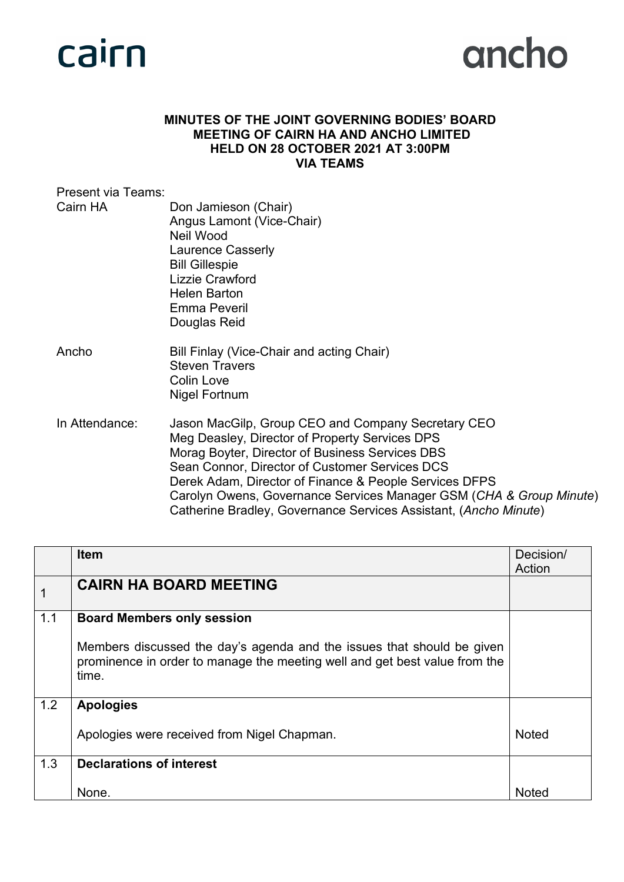

#### **MINUTES OF THE JOINT GOVERNING BODIES' BOARD MEETING OF CAIRN HA AND ANCHO LIMITED HELD ON 28 OCTOBER 2021 AT 3:00PM VIA TEAMS**

| Present via Teams: |                                                                                                                                                                                                                                                                                                                                                                                                                |
|--------------------|----------------------------------------------------------------------------------------------------------------------------------------------------------------------------------------------------------------------------------------------------------------------------------------------------------------------------------------------------------------------------------------------------------------|
| Cairn HA           | Don Jamieson (Chair)<br>Angus Lamont (Vice-Chair)<br>Neil Wood<br>Laurence Casserly<br><b>Bill Gillespie</b><br><b>Lizzie Crawford</b><br><b>Helen Barton</b><br>Emma Peveril<br>Douglas Reid                                                                                                                                                                                                                  |
| Ancho              | Bill Finlay (Vice-Chair and acting Chair)<br><b>Steven Travers</b><br><b>Colin Love</b><br>Nigel Fortnum                                                                                                                                                                                                                                                                                                       |
| In Attendance:     | Jason MacGilp, Group CEO and Company Secretary CEO<br>Meg Deasley, Director of Property Services DPS<br>Morag Boyter, Director of Business Services DBS<br>Sean Connor, Director of Customer Services DCS<br>Derek Adam, Director of Finance & People Services DFPS<br>Carolyn Owens, Governance Services Manager GSM (CHA & Group Minute)<br>Catherine Bradley, Governance Services Assistant, (Ancho Minute) |

|     | <b>Item</b>                                                                                                                                                   | Decision/<br>Action |
|-----|---------------------------------------------------------------------------------------------------------------------------------------------------------------|---------------------|
|     | <b>CAIRN HA BOARD MEETING</b>                                                                                                                                 |                     |
| 1.1 | <b>Board Members only session</b>                                                                                                                             |                     |
|     | Members discussed the day's agenda and the issues that should be given<br>prominence in order to manage the meeting well and get best value from the<br>time. |                     |
| 1.2 | <b>Apologies</b>                                                                                                                                              |                     |
|     | Apologies were received from Nigel Chapman.                                                                                                                   | <b>Noted</b>        |
| 1.3 | <b>Declarations of interest</b>                                                                                                                               |                     |
|     | None.                                                                                                                                                         | Noted               |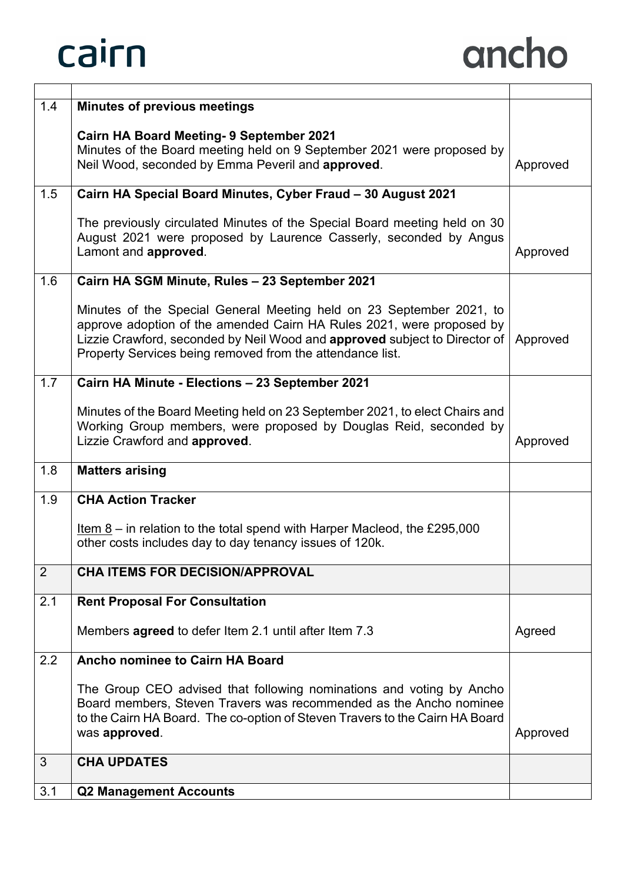| 1.4 | <b>Minutes of previous meetings</b>                                                                                                                                                                                                                                                                        |          |
|-----|------------------------------------------------------------------------------------------------------------------------------------------------------------------------------------------------------------------------------------------------------------------------------------------------------------|----------|
|     | <b>Cairn HA Board Meeting- 9 September 2021</b><br>Minutes of the Board meeting held on 9 September 2021 were proposed by<br>Neil Wood, seconded by Emma Peveril and approved.                                                                                                                             | Approved |
| 1.5 | Cairn HA Special Board Minutes, Cyber Fraud - 30 August 2021                                                                                                                                                                                                                                               |          |
|     | The previously circulated Minutes of the Special Board meeting held on 30<br>August 2021 were proposed by Laurence Casserly, seconded by Angus<br>Lamont and approved.                                                                                                                                     | Approved |
| 1.6 | Cairn HA SGM Minute, Rules - 23 September 2021                                                                                                                                                                                                                                                             |          |
|     | Minutes of the Special General Meeting held on 23 September 2021, to<br>approve adoption of the amended Cairn HA Rules 2021, were proposed by<br>Lizzie Crawford, seconded by Neil Wood and <b>approved</b> subject to Director of   Approved<br>Property Services being removed from the attendance list. |          |
| 1.7 | Cairn HA Minute - Elections - 23 September 2021                                                                                                                                                                                                                                                            |          |
|     | Minutes of the Board Meeting held on 23 September 2021, to elect Chairs and<br>Working Group members, were proposed by Douglas Reid, seconded by<br>Lizzie Crawford and approved.                                                                                                                          | Approved |
| 1.8 | <b>Matters arising</b>                                                                                                                                                                                                                                                                                     |          |
| 1.9 | <b>CHA Action Tracker</b>                                                                                                                                                                                                                                                                                  |          |
|     | Item $8 -$ in relation to the total spend with Harper Macleod, the £295,000<br>other costs includes day to day tenancy issues of 120k.                                                                                                                                                                     |          |
| 2   | <b>CHA ITEMS FOR DECISION/APPROVAL</b>                                                                                                                                                                                                                                                                     |          |
| 2.1 | <b>Rent Proposal For Consultation</b>                                                                                                                                                                                                                                                                      |          |
|     | Members <b>agreed</b> to defer Item 2.1 until after Item 7.3                                                                                                                                                                                                                                               | Agreed   |
| 2.2 | Ancho nominee to Cairn HA Board                                                                                                                                                                                                                                                                            |          |
|     | The Group CEO advised that following nominations and voting by Ancho<br>Board members, Steven Travers was recommended as the Ancho nominee<br>to the Cairn HA Board. The co-option of Steven Travers to the Cairn HA Board<br>was approved.                                                                | Approved |
| 3   | <b>CHA UPDATES</b>                                                                                                                                                                                                                                                                                         |          |
| 3.1 | <b>Q2 Management Accounts</b>                                                                                                                                                                                                                                                                              |          |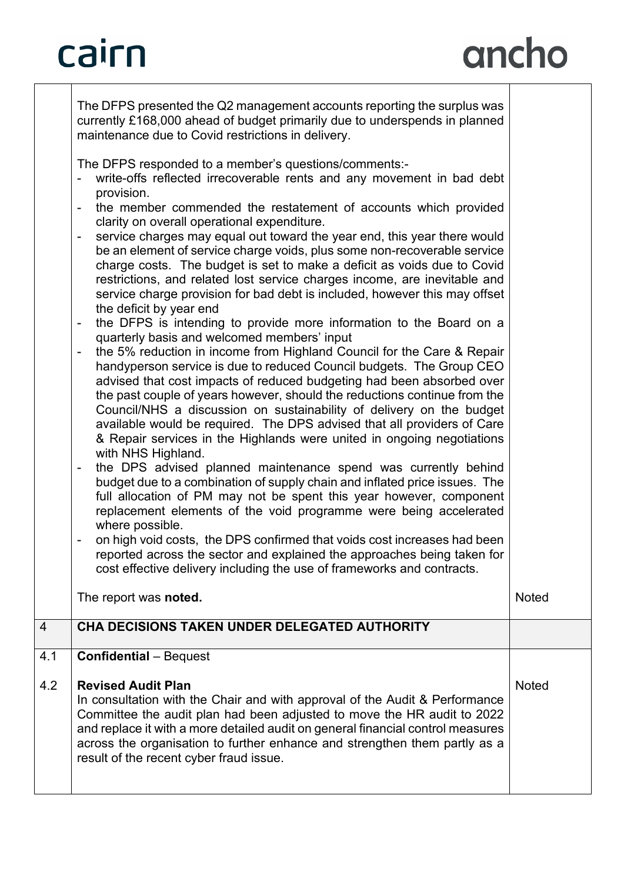## ancho

|                | The DFPS presented the Q2 management accounts reporting the surplus was<br>currently £168,000 ahead of budget primarily due to underspends in planned<br>maintenance due to Covid restrictions in delivery.                                                                                                                                                                                                                                                                                                                                                                                                                                                                                                                                                                                                                                                                                                                                                                                                                                                                                                                                                                                                                                                                                                                                                                                                                                                                                                                                                                                                                                                                                                                                                                                                                                                                                                                                                                                                      |              |
|----------------|------------------------------------------------------------------------------------------------------------------------------------------------------------------------------------------------------------------------------------------------------------------------------------------------------------------------------------------------------------------------------------------------------------------------------------------------------------------------------------------------------------------------------------------------------------------------------------------------------------------------------------------------------------------------------------------------------------------------------------------------------------------------------------------------------------------------------------------------------------------------------------------------------------------------------------------------------------------------------------------------------------------------------------------------------------------------------------------------------------------------------------------------------------------------------------------------------------------------------------------------------------------------------------------------------------------------------------------------------------------------------------------------------------------------------------------------------------------------------------------------------------------------------------------------------------------------------------------------------------------------------------------------------------------------------------------------------------------------------------------------------------------------------------------------------------------------------------------------------------------------------------------------------------------------------------------------------------------------------------------------------------------|--------------|
|                | The DFPS responded to a member's questions/comments:-<br>write-offs reflected irrecoverable rents and any movement in bad debt<br>provision.<br>the member commended the restatement of accounts which provided<br>clarity on overall operational expenditure.<br>service charges may equal out toward the year end, this year there would<br>$\qquad \qquad \blacksquare$<br>be an element of service charge voids, plus some non-recoverable service<br>charge costs. The budget is set to make a deficit as voids due to Covid<br>restrictions, and related lost service charges income, are inevitable and<br>service charge provision for bad debt is included, however this may offset<br>the deficit by year end<br>the DFPS is intending to provide more information to the Board on a<br>$\overline{\phantom{a}}$<br>quarterly basis and welcomed members' input<br>the 5% reduction in income from Highland Council for the Care & Repair<br>handyperson service is due to reduced Council budgets. The Group CEO<br>advised that cost impacts of reduced budgeting had been absorbed over<br>the past couple of years however, should the reductions continue from the<br>Council/NHS a discussion on sustainability of delivery on the budget<br>available would be required. The DPS advised that all providers of Care<br>& Repair services in the Highlands were united in ongoing negotiations<br>with NHS Highland.<br>the DPS advised planned maintenance spend was currently behind<br>$\overline{\phantom{a}}$<br>budget due to a combination of supply chain and inflated price issues. The<br>full allocation of PM may not be spent this year however, component<br>replacement elements of the void programme were being accelerated<br>where possible.<br>on high void costs, the DPS confirmed that voids cost increases had been<br>reported across the sector and explained the approaches being taken for<br>cost effective delivery including the use of frameworks and contracts. |              |
|                | The report was noted.                                                                                                                                                                                                                                                                                                                                                                                                                                                                                                                                                                                                                                                                                                                                                                                                                                                                                                                                                                                                                                                                                                                                                                                                                                                                                                                                                                                                                                                                                                                                                                                                                                                                                                                                                                                                                                                                                                                                                                                            | <b>Noted</b> |
| $\overline{4}$ | CHA DECISIONS TAKEN UNDER DELEGATED AUTHORITY                                                                                                                                                                                                                                                                                                                                                                                                                                                                                                                                                                                                                                                                                                                                                                                                                                                                                                                                                                                                                                                                                                                                                                                                                                                                                                                                                                                                                                                                                                                                                                                                                                                                                                                                                                                                                                                                                                                                                                    |              |
| 4.1            | <b>Confidential</b> - Bequest                                                                                                                                                                                                                                                                                                                                                                                                                                                                                                                                                                                                                                                                                                                                                                                                                                                                                                                                                                                                                                                                                                                                                                                                                                                                                                                                                                                                                                                                                                                                                                                                                                                                                                                                                                                                                                                                                                                                                                                    |              |
| 4.2            | <b>Revised Audit Plan</b><br>In consultation with the Chair and with approval of the Audit & Performance<br>Committee the audit plan had been adjusted to move the HR audit to 2022<br>and replace it with a more detailed audit on general financial control measures<br>across the organisation to further enhance and strengthen them partly as a<br>result of the recent cyber fraud issue.                                                                                                                                                                                                                                                                                                                                                                                                                                                                                                                                                                                                                                                                                                                                                                                                                                                                                                                                                                                                                                                                                                                                                                                                                                                                                                                                                                                                                                                                                                                                                                                                                  | <b>Noted</b> |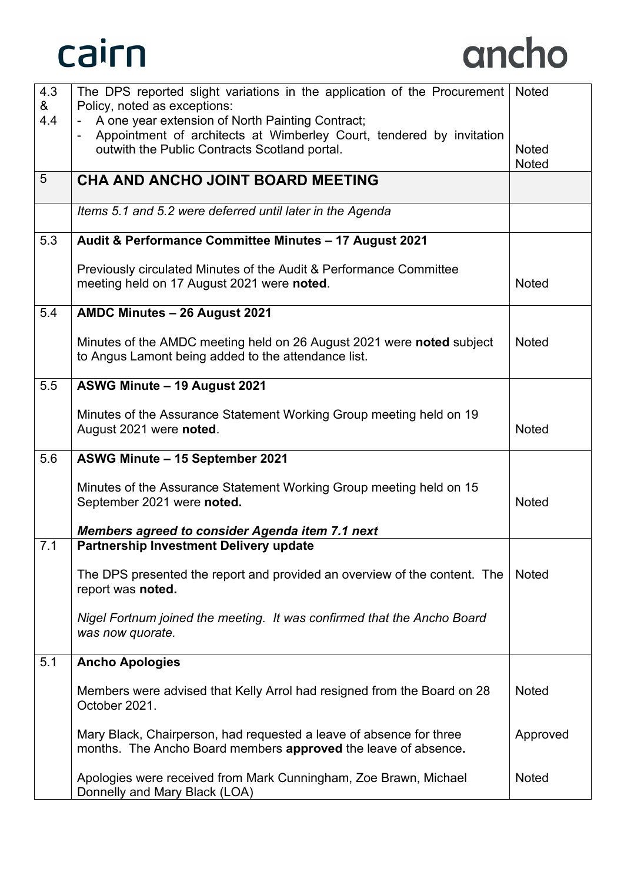

| 4.3             | The DPS reported slight variations in the application of the Procurement                                         | <b>Noted</b> |
|-----------------|------------------------------------------------------------------------------------------------------------------|--------------|
| &<br>4.4        | Policy, noted as exceptions:<br>A one year extension of North Painting Contract;<br>$\blacksquare$               |              |
|                 | Appointment of architects at Wimberley Court, tendered by invitation                                             |              |
|                 | outwith the Public Contracts Scotland portal.                                                                    | <b>Noted</b> |
|                 |                                                                                                                  | <b>Noted</b> |
| $5\overline{)}$ | CHA AND ANCHO JOINT BOARD MEETING                                                                                |              |
|                 | Items 5.1 and 5.2 were deferred until later in the Agenda                                                        |              |
| 5.3             | Audit & Performance Committee Minutes - 17 August 2021                                                           |              |
|                 | Previously circulated Minutes of the Audit & Performance Committee<br>meeting held on 17 August 2021 were noted. | <b>Noted</b> |
|                 |                                                                                                                  |              |
| 5.4             | AMDC Minutes - 26 August 2021                                                                                    |              |
|                 | Minutes of the AMDC meeting held on 26 August 2021 were noted subject                                            | <b>Noted</b> |
|                 | to Angus Lamont being added to the attendance list.                                                              |              |
|                 |                                                                                                                  |              |
| 5.5             | ASWG Minute - 19 August 2021                                                                                     |              |
|                 | Minutes of the Assurance Statement Working Group meeting held on 19                                              |              |
|                 | August 2021 were noted.                                                                                          | <b>Noted</b> |
| 5.6             | ASWG Minute - 15 September 2021                                                                                  |              |
|                 |                                                                                                                  |              |
|                 | Minutes of the Assurance Statement Working Group meeting held on 15                                              |              |
|                 | September 2021 were noted.                                                                                       | <b>Noted</b> |
|                 | <b>Members agreed to consider Agenda item 7.1 next</b>                                                           |              |
| 7.1             | Partnership Investment Delivery update                                                                           |              |
|                 |                                                                                                                  |              |
|                 | The DPS presented the report and provided an overview of the content. The<br>report was noted.                   | <b>Noted</b> |
|                 | Nigel Fortnum joined the meeting. It was confirmed that the Ancho Board                                          |              |
|                 | was now quorate.                                                                                                 |              |
| 5.1             | <b>Ancho Apologies</b>                                                                                           |              |
|                 |                                                                                                                  |              |
|                 | Members were advised that Kelly Arrol had resigned from the Board on 28<br>October 2021.                         | <b>Noted</b> |
|                 | Mary Black, Chairperson, had requested a leave of absence for three                                              | Approved     |
|                 | months. The Ancho Board members approved the leave of absence.                                                   |              |
|                 | Apologies were received from Mark Cunningham, Zoe Brawn, Michael<br>Donnelly and Mary Black (LOA)                | <b>Noted</b> |
|                 |                                                                                                                  |              |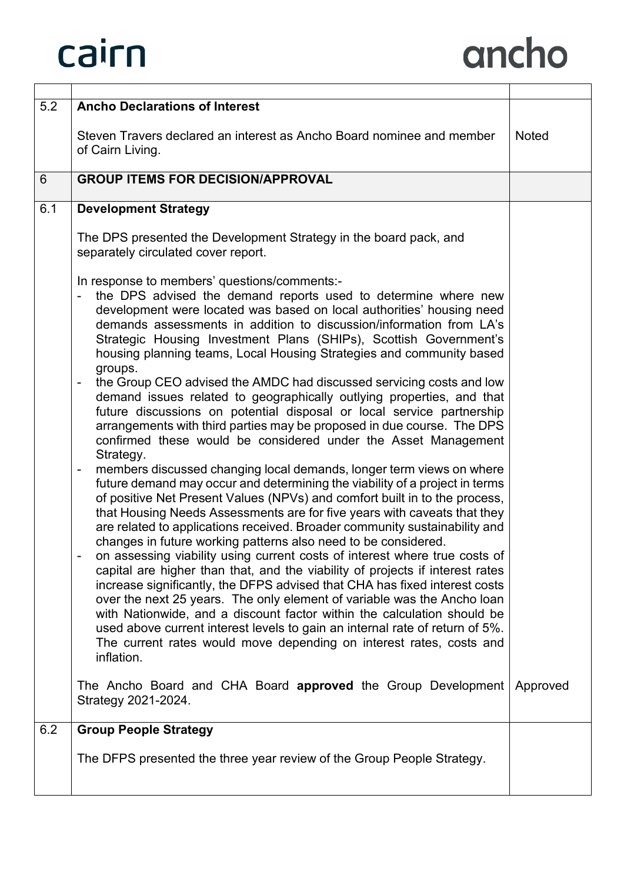| 5.2 | <b>Ancho Declarations of Interest</b>                                                                                                                                                                                                                                                                                                                                                                                                                                                                                                                                                                                                                                                                                                                                                                                                                                                                                                                                                                                                                                                                                                                                                                                                                                                                                                                                                                                                                                                                                                                                                                                                                                                                                                                                                                                                                                                                           |              |
|-----|-----------------------------------------------------------------------------------------------------------------------------------------------------------------------------------------------------------------------------------------------------------------------------------------------------------------------------------------------------------------------------------------------------------------------------------------------------------------------------------------------------------------------------------------------------------------------------------------------------------------------------------------------------------------------------------------------------------------------------------------------------------------------------------------------------------------------------------------------------------------------------------------------------------------------------------------------------------------------------------------------------------------------------------------------------------------------------------------------------------------------------------------------------------------------------------------------------------------------------------------------------------------------------------------------------------------------------------------------------------------------------------------------------------------------------------------------------------------------------------------------------------------------------------------------------------------------------------------------------------------------------------------------------------------------------------------------------------------------------------------------------------------------------------------------------------------------------------------------------------------------------------------------------------------|--------------|
|     | Steven Travers declared an interest as Ancho Board nominee and member<br>of Cairn Living.                                                                                                                                                                                                                                                                                                                                                                                                                                                                                                                                                                                                                                                                                                                                                                                                                                                                                                                                                                                                                                                                                                                                                                                                                                                                                                                                                                                                                                                                                                                                                                                                                                                                                                                                                                                                                       | <b>Noted</b> |
| 6   | <b>GROUP ITEMS FOR DECISION/APPROVAL</b>                                                                                                                                                                                                                                                                                                                                                                                                                                                                                                                                                                                                                                                                                                                                                                                                                                                                                                                                                                                                                                                                                                                                                                                                                                                                                                                                                                                                                                                                                                                                                                                                                                                                                                                                                                                                                                                                        |              |
| 6.1 | <b>Development Strategy</b>                                                                                                                                                                                                                                                                                                                                                                                                                                                                                                                                                                                                                                                                                                                                                                                                                                                                                                                                                                                                                                                                                                                                                                                                                                                                                                                                                                                                                                                                                                                                                                                                                                                                                                                                                                                                                                                                                     |              |
|     | The DPS presented the Development Strategy in the board pack, and<br>separately circulated cover report.                                                                                                                                                                                                                                                                                                                                                                                                                                                                                                                                                                                                                                                                                                                                                                                                                                                                                                                                                                                                                                                                                                                                                                                                                                                                                                                                                                                                                                                                                                                                                                                                                                                                                                                                                                                                        |              |
|     | In response to members' questions/comments:-<br>the DPS advised the demand reports used to determine where new<br>-<br>development were located was based on local authorities' housing need<br>demands assessments in addition to discussion/information from LA's<br>Strategic Housing Investment Plans (SHIPs), Scottish Government's<br>housing planning teams, Local Housing Strategies and community based<br>groups.<br>the Group CEO advised the AMDC had discussed servicing costs and low<br>$\overline{\phantom{0}}$<br>demand issues related to geographically outlying properties, and that<br>future discussions on potential disposal or local service partnership<br>arrangements with third parties may be proposed in due course. The DPS<br>confirmed these would be considered under the Asset Management<br>Strategy.<br>members discussed changing local demands, longer term views on where<br>$\overline{\phantom{0}}$<br>future demand may occur and determining the viability of a project in terms<br>of positive Net Present Values (NPVs) and comfort built in to the process,<br>that Housing Needs Assessments are for five years with caveats that they<br>are related to applications received. Broader community sustainability and<br>changes in future working patterns also need to be considered.<br>on assessing viability using current costs of interest where true costs of<br>capital are higher than that, and the viability of projects if interest rates<br>increase significantly, the DFPS advised that CHA has fixed interest costs<br>over the next 25 years. The only element of variable was the Ancho loan<br>with Nationwide, and a discount factor within the calculation should be<br>used above current interest levels to gain an internal rate of return of 5%.<br>The current rates would move depending on interest rates, costs and<br>inflation. |              |
|     | The Ancho Board and CHA Board approved the Group Development<br>Strategy 2021-2024.                                                                                                                                                                                                                                                                                                                                                                                                                                                                                                                                                                                                                                                                                                                                                                                                                                                                                                                                                                                                                                                                                                                                                                                                                                                                                                                                                                                                                                                                                                                                                                                                                                                                                                                                                                                                                             | Approved     |
| 6.2 | <b>Group People Strategy</b>                                                                                                                                                                                                                                                                                                                                                                                                                                                                                                                                                                                                                                                                                                                                                                                                                                                                                                                                                                                                                                                                                                                                                                                                                                                                                                                                                                                                                                                                                                                                                                                                                                                                                                                                                                                                                                                                                    |              |
|     | The DFPS presented the three year review of the Group People Strategy.                                                                                                                                                                                                                                                                                                                                                                                                                                                                                                                                                                                                                                                                                                                                                                                                                                                                                                                                                                                                                                                                                                                                                                                                                                                                                                                                                                                                                                                                                                                                                                                                                                                                                                                                                                                                                                          |              |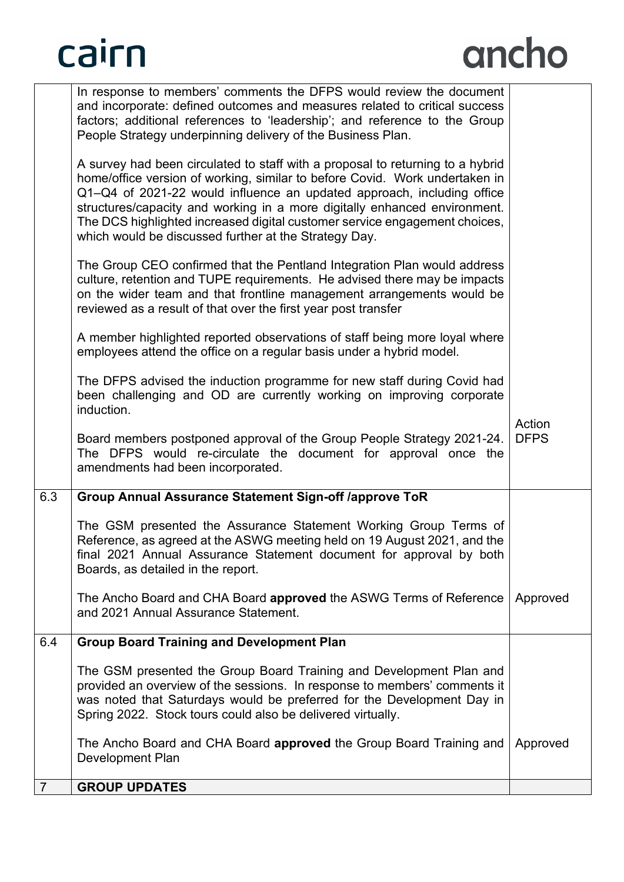$\overline{7}$ 

|     | In response to members' comments the DFPS would review the document<br>and incorporate: defined outcomes and measures related to critical success<br>factors; additional references to 'leadership'; and reference to the Group<br>People Strategy underpinning delivery of the Business Plan.                                                                                                                                                              |                       |
|-----|-------------------------------------------------------------------------------------------------------------------------------------------------------------------------------------------------------------------------------------------------------------------------------------------------------------------------------------------------------------------------------------------------------------------------------------------------------------|-----------------------|
|     | A survey had been circulated to staff with a proposal to returning to a hybrid<br>home/office version of working, similar to before Covid. Work undertaken in<br>Q1-Q4 of 2021-22 would influence an updated approach, including office<br>structures/capacity and working in a more digitally enhanced environment.<br>The DCS highlighted increased digital customer service engagement choices,<br>which would be discussed further at the Strategy Day. |                       |
|     | The Group CEO confirmed that the Pentland Integration Plan would address<br>culture, retention and TUPE requirements. He advised there may be impacts<br>on the wider team and that frontline management arrangements would be<br>reviewed as a result of that over the first year post transfer                                                                                                                                                            |                       |
|     | A member highlighted reported observations of staff being more loyal where<br>employees attend the office on a regular basis under a hybrid model.                                                                                                                                                                                                                                                                                                          |                       |
|     | The DFPS advised the induction programme for new staff during Covid had<br>been challenging and OD are currently working on improving corporate<br>induction.                                                                                                                                                                                                                                                                                               |                       |
|     | Board members postponed approval of the Group People Strategy 2021-24.<br>The DFPS would re-circulate the document for approval once the<br>amendments had been incorporated.                                                                                                                                                                                                                                                                               | Action<br><b>DFPS</b> |
| 6.3 | <b>Group Annual Assurance Statement Sign-off /approve ToR</b>                                                                                                                                                                                                                                                                                                                                                                                               |                       |
|     | The GSM presented the Assurance Statement Working Group Terms of<br>Reference, as agreed at the ASWG meeting held on 19 August 2021, and the<br>final 2021 Annual Assurance Statement document for approval by both<br>Boards, as detailed in the report.                                                                                                                                                                                                   |                       |
|     | The Ancho Board and CHA Board <b>approved</b> the ASWG Terms of Reference<br>and 2021 Annual Assurance Statement.                                                                                                                                                                                                                                                                                                                                           | Approved              |
| 6.4 | <b>Group Board Training and Development Plan</b>                                                                                                                                                                                                                                                                                                                                                                                                            |                       |
|     | The GSM presented the Group Board Training and Development Plan and<br>provided an overview of the sessions. In response to members' comments it<br>was noted that Saturdays would be preferred for the Development Day in<br>Spring 2022. Stock tours could also be delivered virtually.                                                                                                                                                                   |                       |
|     | The Ancho Board and CHA Board approved the Group Board Training and<br>Development Plan                                                                                                                                                                                                                                                                                                                                                                     | Approved              |
|     | <b>GROUP UPDATES</b>                                                                                                                                                                                                                                                                                                                                                                                                                                        |                       |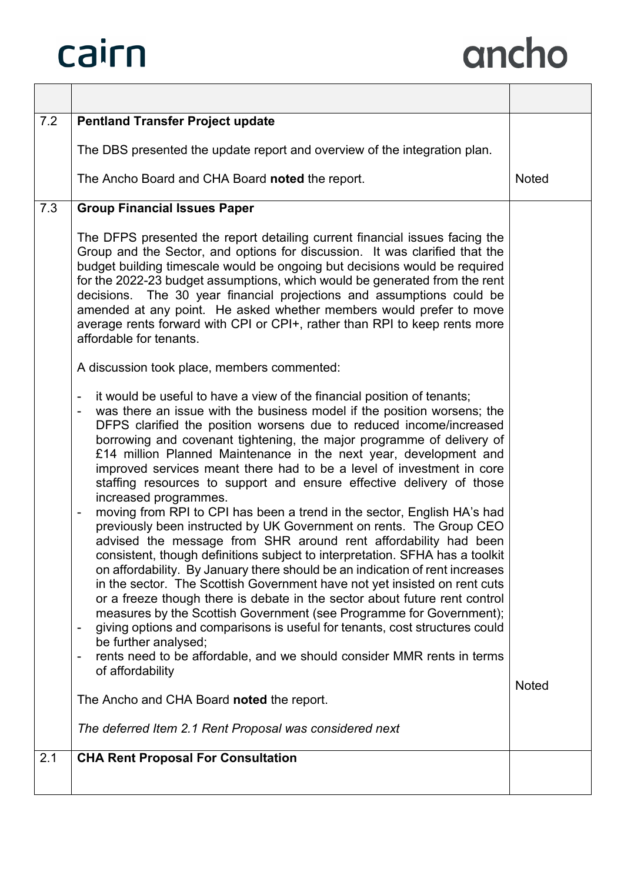| 7.2 | <b>Pentland Transfer Project update</b>                                                                                                                                                                                                                                                                                                                                                                                                                                                                                                                                                                                                                                                                                                                                                                                                                                                                                                                                                                                                                                                                                                                                                                                                                                                                                                                                                                                                                         |              |
|-----|-----------------------------------------------------------------------------------------------------------------------------------------------------------------------------------------------------------------------------------------------------------------------------------------------------------------------------------------------------------------------------------------------------------------------------------------------------------------------------------------------------------------------------------------------------------------------------------------------------------------------------------------------------------------------------------------------------------------------------------------------------------------------------------------------------------------------------------------------------------------------------------------------------------------------------------------------------------------------------------------------------------------------------------------------------------------------------------------------------------------------------------------------------------------------------------------------------------------------------------------------------------------------------------------------------------------------------------------------------------------------------------------------------------------------------------------------------------------|--------------|
|     | The DBS presented the update report and overview of the integration plan.                                                                                                                                                                                                                                                                                                                                                                                                                                                                                                                                                                                                                                                                                                                                                                                                                                                                                                                                                                                                                                                                                                                                                                                                                                                                                                                                                                                       |              |
|     | The Ancho Board and CHA Board noted the report.                                                                                                                                                                                                                                                                                                                                                                                                                                                                                                                                                                                                                                                                                                                                                                                                                                                                                                                                                                                                                                                                                                                                                                                                                                                                                                                                                                                                                 | <b>Noted</b> |
| 7.3 | <b>Group Financial Issues Paper</b>                                                                                                                                                                                                                                                                                                                                                                                                                                                                                                                                                                                                                                                                                                                                                                                                                                                                                                                                                                                                                                                                                                                                                                                                                                                                                                                                                                                                                             |              |
|     | The DFPS presented the report detailing current financial issues facing the<br>Group and the Sector, and options for discussion. It was clarified that the<br>budget building timescale would be ongoing but decisions would be required<br>for the 2022-23 budget assumptions, which would be generated from the rent<br>decisions. The 30 year financial projections and assumptions could be<br>amended at any point. He asked whether members would prefer to move<br>average rents forward with CPI or CPI+, rather than RPI to keep rents more<br>affordable for tenants.                                                                                                                                                                                                                                                                                                                                                                                                                                                                                                                                                                                                                                                                                                                                                                                                                                                                                 |              |
|     | A discussion took place, members commented:                                                                                                                                                                                                                                                                                                                                                                                                                                                                                                                                                                                                                                                                                                                                                                                                                                                                                                                                                                                                                                                                                                                                                                                                                                                                                                                                                                                                                     |              |
|     | it would be useful to have a view of the financial position of tenants;<br>$\overline{a}$<br>was there an issue with the business model if the position worsens; the<br>$\overline{\phantom{a}}$<br>DFPS clarified the position worsens due to reduced income/increased<br>borrowing and covenant tightening, the major programme of delivery of<br>£14 million Planned Maintenance in the next year, development and<br>improved services meant there had to be a level of investment in core<br>staffing resources to support and ensure effective delivery of those<br>increased programmes.<br>moving from RPI to CPI has been a trend in the sector, English HA's had<br>$\overline{a}$<br>previously been instructed by UK Government on rents. The Group CEO<br>advised the message from SHR around rent affordability had been<br>consistent, though definitions subject to interpretation. SFHA has a toolkit<br>on affordability. By January there should be an indication of rent increases<br>in the sector. The Scottish Government have not yet insisted on rent cuts<br>or a freeze though there is debate in the sector about future rent control<br>measures by the Scottish Government (see Programme for Government);<br>giving options and comparisons is useful for tenants, cost structures could<br>be further analysed;<br>rents need to be affordable, and we should consider MMR rents in terms<br>$\overline{a}$<br>of affordability |              |
|     | The Ancho and CHA Board noted the report.                                                                                                                                                                                                                                                                                                                                                                                                                                                                                                                                                                                                                                                                                                                                                                                                                                                                                                                                                                                                                                                                                                                                                                                                                                                                                                                                                                                                                       | <b>Noted</b> |
|     | The deferred Item 2.1 Rent Proposal was considered next                                                                                                                                                                                                                                                                                                                                                                                                                                                                                                                                                                                                                                                                                                                                                                                                                                                                                                                                                                                                                                                                                                                                                                                                                                                                                                                                                                                                         |              |
| 2.1 | <b>CHA Rent Proposal For Consultation</b>                                                                                                                                                                                                                                                                                                                                                                                                                                                                                                                                                                                                                                                                                                                                                                                                                                                                                                                                                                                                                                                                                                                                                                                                                                                                                                                                                                                                                       |              |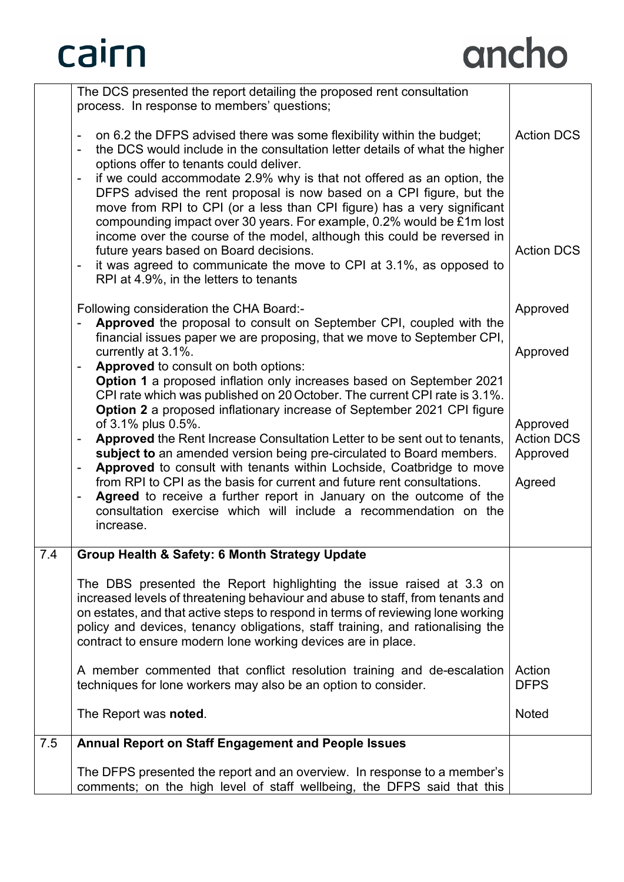|     | The DCS presented the report detailing the proposed rent consultation<br>process. In response to members' questions;                                                                                                                                                                                                                                                                        |                       |
|-----|---------------------------------------------------------------------------------------------------------------------------------------------------------------------------------------------------------------------------------------------------------------------------------------------------------------------------------------------------------------------------------------------|-----------------------|
|     | on 6.2 the DFPS advised there was some flexibility within the budget;<br>$\blacksquare$<br>the DCS would include in the consultation letter details of what the higher<br>$\blacksquare$<br>options offer to tenants could deliver.<br>if we could accommodate 2.9% why is that not offered as an option, the<br>DFPS advised the rent proposal is now based on a CPI figure, but the       | <b>Action DCS</b>     |
|     | move from RPI to CPI (or a less than CPI figure) has a very significant<br>compounding impact over 30 years. For example, 0.2% would be £1m lost<br>income over the course of the model, although this could be reversed in<br>future years based on Board decisions.<br>it was agreed to communicate the move to CPI at 3.1%, as opposed to<br>RPI at 4.9%, in the letters to tenants      | <b>Action DCS</b>     |
|     | Following consideration the CHA Board:-<br>Approved the proposal to consult on September CPI, coupled with the<br>financial issues paper we are proposing, that we move to September CPI,                                                                                                                                                                                                   | Approved              |
|     | currently at 3.1%.                                                                                                                                                                                                                                                                                                                                                                          | Approved              |
|     | Approved to consult on both options:<br>Option 1 a proposed inflation only increases based on September 2021                                                                                                                                                                                                                                                                                |                       |
|     | CPI rate which was published on 20 October. The current CPI rate is 3.1%.                                                                                                                                                                                                                                                                                                                   |                       |
|     | <b>Option 2</b> a proposed inflationary increase of September 2021 CPI figure<br>of 3.1% plus 0.5%.                                                                                                                                                                                                                                                                                         | Approved              |
|     | Approved the Rent Increase Consultation Letter to be sent out to tenants,<br>$\blacksquare$                                                                                                                                                                                                                                                                                                 | <b>Action DCS</b>     |
|     | subject to an amended version being pre-circulated to Board members.<br>Approved to consult with tenants within Lochside, Coatbridge to move                                                                                                                                                                                                                                                | Approved              |
|     | from RPI to CPI as the basis for current and future rent consultations.                                                                                                                                                                                                                                                                                                                     | Agreed                |
|     | Agreed to receive a further report in January on the outcome of the<br>consultation exercise which will include a recommendation on the<br>increase.                                                                                                                                                                                                                                        |                       |
| 7.4 | Group Health & Safety: 6 Month Strategy Update                                                                                                                                                                                                                                                                                                                                              |                       |
|     | The DBS presented the Report highlighting the issue raised at 3.3 on<br>increased levels of threatening behaviour and abuse to staff, from tenants and<br>on estates, and that active steps to respond in terms of reviewing lone working<br>policy and devices, tenancy obligations, staff training, and rationalising the<br>contract to ensure modern lone working devices are in place. |                       |
|     | A member commented that conflict resolution training and de-escalation<br>techniques for lone workers may also be an option to consider.                                                                                                                                                                                                                                                    | Action<br><b>DFPS</b> |
|     | The Report was noted.                                                                                                                                                                                                                                                                                                                                                                       | <b>Noted</b>          |
| 7.5 | <b>Annual Report on Staff Engagement and People Issues</b>                                                                                                                                                                                                                                                                                                                                  |                       |
|     | The DFPS presented the report and an overview. In response to a member's                                                                                                                                                                                                                                                                                                                    |                       |
|     | comments; on the high level of staff wellbeing, the DFPS said that this                                                                                                                                                                                                                                                                                                                     |                       |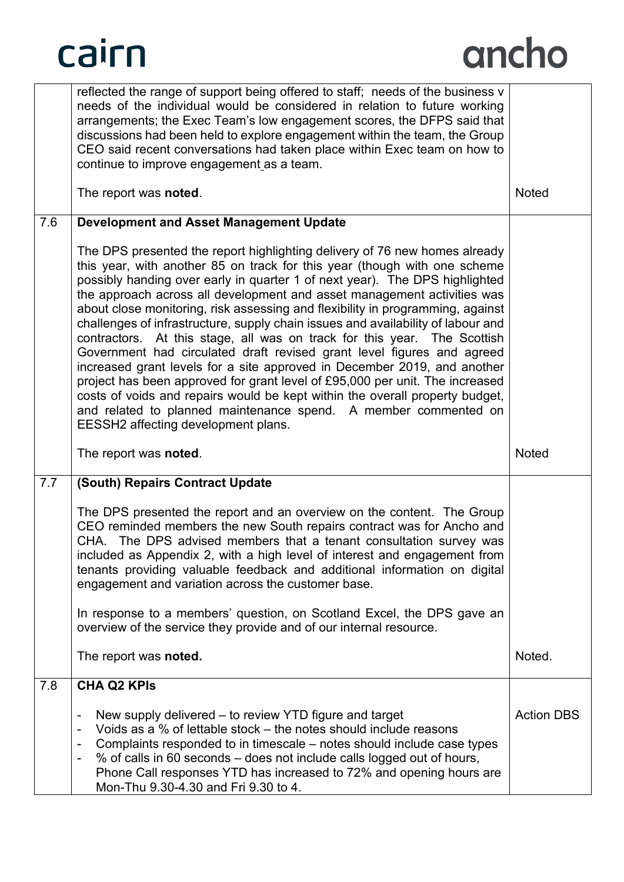

|     | reflected the range of support being offered to staff; needs of the business v<br>needs of the individual would be considered in relation to future working<br>arrangements; the Exec Team's low engagement scores, the DFPS said that<br>discussions had been held to explore engagement within the team, the Group<br>CEO said recent conversations had taken place within Exec team on how to<br>continue to improve engagement as a team.                                                                                                                                                                                                                                                                                                                                                                                                                                                                                                                                                       |              |
|-----|-----------------------------------------------------------------------------------------------------------------------------------------------------------------------------------------------------------------------------------------------------------------------------------------------------------------------------------------------------------------------------------------------------------------------------------------------------------------------------------------------------------------------------------------------------------------------------------------------------------------------------------------------------------------------------------------------------------------------------------------------------------------------------------------------------------------------------------------------------------------------------------------------------------------------------------------------------------------------------------------------------|--------------|
|     | The report was noted.                                                                                                                                                                                                                                                                                                                                                                                                                                                                                                                                                                                                                                                                                                                                                                                                                                                                                                                                                                               | <b>Noted</b> |
| 7.6 | <b>Development and Asset Management Update</b>                                                                                                                                                                                                                                                                                                                                                                                                                                                                                                                                                                                                                                                                                                                                                                                                                                                                                                                                                      |              |
|     | The DPS presented the report highlighting delivery of 76 new homes already<br>this year, with another 85 on track for this year (though with one scheme<br>possibly handing over early in quarter 1 of next year). The DPS highlighted<br>the approach across all development and asset management activities was<br>about close monitoring, risk assessing and flexibility in programming, against<br>challenges of infrastructure, supply chain issues and availability of labour and<br>contractors. At this stage, all was on track for this year. The Scottish<br>Government had circulated draft revised grant level figures and agreed<br>increased grant levels for a site approved in December 2019, and another<br>project has been approved for grant level of £95,000 per unit. The increased<br>costs of voids and repairs would be kept within the overall property budget,<br>and related to planned maintenance spend. A member commented on<br>EESSH2 affecting development plans. |              |
|     |                                                                                                                                                                                                                                                                                                                                                                                                                                                                                                                                                                                                                                                                                                                                                                                                                                                                                                                                                                                                     |              |
|     | The report was noted.                                                                                                                                                                                                                                                                                                                                                                                                                                                                                                                                                                                                                                                                                                                                                                                                                                                                                                                                                                               | <b>Noted</b> |
| 7.7 | (South) Repairs Contract Update                                                                                                                                                                                                                                                                                                                                                                                                                                                                                                                                                                                                                                                                                                                                                                                                                                                                                                                                                                     |              |
|     | The DPS presented the report and an overview on the content. The Group<br>CEO reminded members the new South repairs contract was for Ancho and<br>CHA. The DPS advised members that a tenant consultation survey was<br>included as Appendix 2, with a high level of interest and engagement from<br>tenants providing valuable feedback and additional information on digital<br>engagement and variation across the customer base.                                                                                                                                                                                                                                                                                                                                                                                                                                                                                                                                                               |              |
|     | In response to a members' question, on Scotland Excel, the DPS gave an<br>overview of the service they provide and of our internal resource.                                                                                                                                                                                                                                                                                                                                                                                                                                                                                                                                                                                                                                                                                                                                                                                                                                                        |              |
|     | The report was noted.                                                                                                                                                                                                                                                                                                                                                                                                                                                                                                                                                                                                                                                                                                                                                                                                                                                                                                                                                                               | Noted.       |
| 7.8 | <b>CHA Q2 KPIs</b>                                                                                                                                                                                                                                                                                                                                                                                                                                                                                                                                                                                                                                                                                                                                                                                                                                                                                                                                                                                  |              |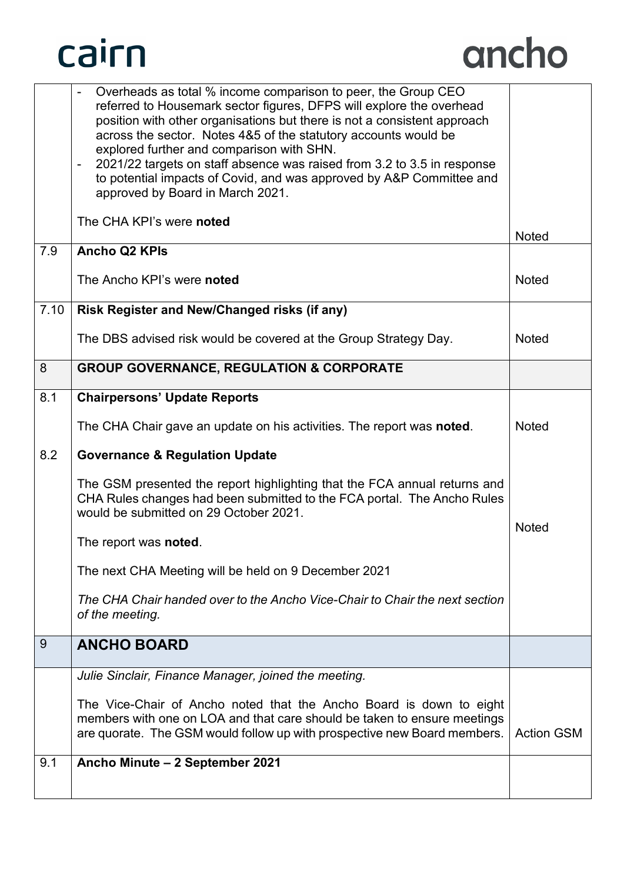

|      | Overheads as total % income comparison to peer, the Group CEO<br>referred to Housemark sector figures, DFPS will explore the overhead<br>position with other organisations but there is not a consistent approach<br>across the sector. Notes 4&5 of the statutory accounts would be<br>explored further and comparison with SHN.<br>2021/22 targets on staff absence was raised from 3.2 to 3.5 in response<br>-<br>to potential impacts of Covid, and was approved by A&P Committee and<br>approved by Board in March 2021. |                   |
|------|-------------------------------------------------------------------------------------------------------------------------------------------------------------------------------------------------------------------------------------------------------------------------------------------------------------------------------------------------------------------------------------------------------------------------------------------------------------------------------------------------------------------------------|-------------------|
|      | The CHA KPI's were noted                                                                                                                                                                                                                                                                                                                                                                                                                                                                                                      | <b>Noted</b>      |
| 7.9  | <b>Ancho Q2 KPIs</b>                                                                                                                                                                                                                                                                                                                                                                                                                                                                                                          |                   |
|      | The Ancho KPI's were noted                                                                                                                                                                                                                                                                                                                                                                                                                                                                                                    | <b>Noted</b>      |
| 7.10 | Risk Register and New/Changed risks (if any)                                                                                                                                                                                                                                                                                                                                                                                                                                                                                  |                   |
|      | The DBS advised risk would be covered at the Group Strategy Day.                                                                                                                                                                                                                                                                                                                                                                                                                                                              | <b>Noted</b>      |
| 8    | <b>GROUP GOVERNANCE, REGULATION &amp; CORPORATE</b>                                                                                                                                                                                                                                                                                                                                                                                                                                                                           |                   |
| 8.1  | <b>Chairpersons' Update Reports</b>                                                                                                                                                                                                                                                                                                                                                                                                                                                                                           |                   |
|      | The CHA Chair gave an update on his activities. The report was noted.                                                                                                                                                                                                                                                                                                                                                                                                                                                         | <b>Noted</b>      |
| 8.2  | <b>Governance &amp; Regulation Update</b>                                                                                                                                                                                                                                                                                                                                                                                                                                                                                     |                   |
|      | The GSM presented the report highlighting that the FCA annual returns and<br>CHA Rules changes had been submitted to the FCA portal. The Ancho Rules<br>would be submitted on 29 October 2021.                                                                                                                                                                                                                                                                                                                                | <b>Noted</b>      |
|      | The report was <b>noted</b> .                                                                                                                                                                                                                                                                                                                                                                                                                                                                                                 |                   |
|      | The next CHA Meeting will be held on 9 December 2021                                                                                                                                                                                                                                                                                                                                                                                                                                                                          |                   |
|      | The CHA Chair handed over to the Ancho Vice-Chair to Chair the next section<br>of the meeting.                                                                                                                                                                                                                                                                                                                                                                                                                                |                   |
| 9    | <b>ANCHO BOARD</b>                                                                                                                                                                                                                                                                                                                                                                                                                                                                                                            |                   |
|      | Julie Sinclair, Finance Manager, joined the meeting.                                                                                                                                                                                                                                                                                                                                                                                                                                                                          |                   |
|      | The Vice-Chair of Ancho noted that the Ancho Board is down to eight<br>members with one on LOA and that care should be taken to ensure meetings<br>are quorate. The GSM would follow up with prospective new Board members.                                                                                                                                                                                                                                                                                                   | <b>Action GSM</b> |
| 9.1  | Ancho Minute - 2 September 2021                                                                                                                                                                                                                                                                                                                                                                                                                                                                                               |                   |
|      |                                                                                                                                                                                                                                                                                                                                                                                                                                                                                                                               |                   |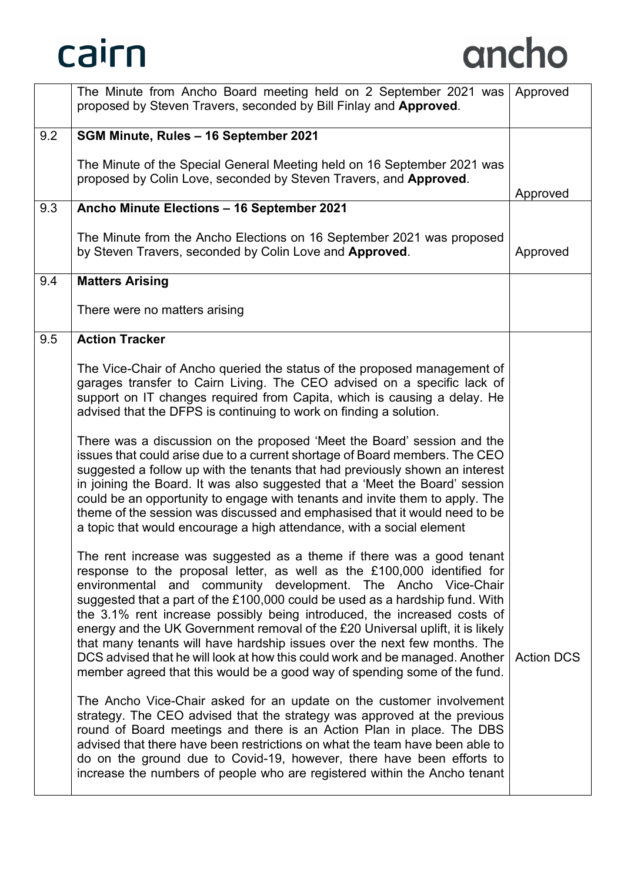|     | The Minute from Ancho Board meeting held on 2 September 2021 was Approved<br>proposed by Steven Travers, seconded by Bill Finlay and Approved.                                                                                                                                                                                                                                                                                                                                                                                                                                                                                                                                                            |                   |
|-----|-----------------------------------------------------------------------------------------------------------------------------------------------------------------------------------------------------------------------------------------------------------------------------------------------------------------------------------------------------------------------------------------------------------------------------------------------------------------------------------------------------------------------------------------------------------------------------------------------------------------------------------------------------------------------------------------------------------|-------------------|
| 9.2 | SGM Minute, Rules - 16 September 2021                                                                                                                                                                                                                                                                                                                                                                                                                                                                                                                                                                                                                                                                     |                   |
|     | The Minute of the Special General Meeting held on 16 September 2021 was<br>proposed by Colin Love, seconded by Steven Travers, and Approved.                                                                                                                                                                                                                                                                                                                                                                                                                                                                                                                                                              |                   |
| 9.3 | Ancho Minute Elections - 16 September 2021                                                                                                                                                                                                                                                                                                                                                                                                                                                                                                                                                                                                                                                                | Approved          |
|     |                                                                                                                                                                                                                                                                                                                                                                                                                                                                                                                                                                                                                                                                                                           |                   |
|     | The Minute from the Ancho Elections on 16 September 2021 was proposed<br>by Steven Travers, seconded by Colin Love and Approved.                                                                                                                                                                                                                                                                                                                                                                                                                                                                                                                                                                          | Approved          |
| 9.4 | <b>Matters Arising</b>                                                                                                                                                                                                                                                                                                                                                                                                                                                                                                                                                                                                                                                                                    |                   |
|     | There were no matters arising                                                                                                                                                                                                                                                                                                                                                                                                                                                                                                                                                                                                                                                                             |                   |
| 9.5 | <b>Action Tracker</b>                                                                                                                                                                                                                                                                                                                                                                                                                                                                                                                                                                                                                                                                                     |                   |
|     | The Vice-Chair of Ancho queried the status of the proposed management of<br>garages transfer to Cairn Living. The CEO advised on a specific lack of<br>support on IT changes required from Capita, which is causing a delay. He<br>advised that the DFPS is continuing to work on finding a solution.                                                                                                                                                                                                                                                                                                                                                                                                     |                   |
|     | There was a discussion on the proposed 'Meet the Board' session and the<br>issues that could arise due to a current shortage of Board members. The CEO<br>suggested a follow up with the tenants that had previously shown an interest<br>in joining the Board. It was also suggested that a 'Meet the Board' session<br>could be an opportunity to engage with tenants and invite them to apply. The<br>theme of the session was discussed and emphasised that it would need to be<br>a topic that would encourage a high attendance, with a social element                                                                                                                                              |                   |
|     | The rent increase was suggested as a theme if there was a good tenant<br>response to the proposal letter, as well as the £100,000 identified for<br>environmental and community development. The Ancho Vice-Chair<br>suggested that a part of the £100,000 could be used as a hardship fund. With<br>the 3.1% rent increase possibly being introduced, the increased costs of<br>energy and the UK Government removal of the £20 Universal uplift, it is likely<br>that many tenants will have hardship issues over the next few months. The<br>DCS advised that he will look at how this could work and be managed. Another<br>member agreed that this would be a good way of spending some of the fund. | <b>Action DCS</b> |
|     | The Ancho Vice-Chair asked for an update on the customer involvement<br>strategy. The CEO advised that the strategy was approved at the previous<br>round of Board meetings and there is an Action Plan in place. The DBS<br>advised that there have been restrictions on what the team have been able to<br>do on the ground due to Covid-19, however, there have been efforts to<br>increase the numbers of people who are registered within the Ancho tenant                                                                                                                                                                                                                                           |                   |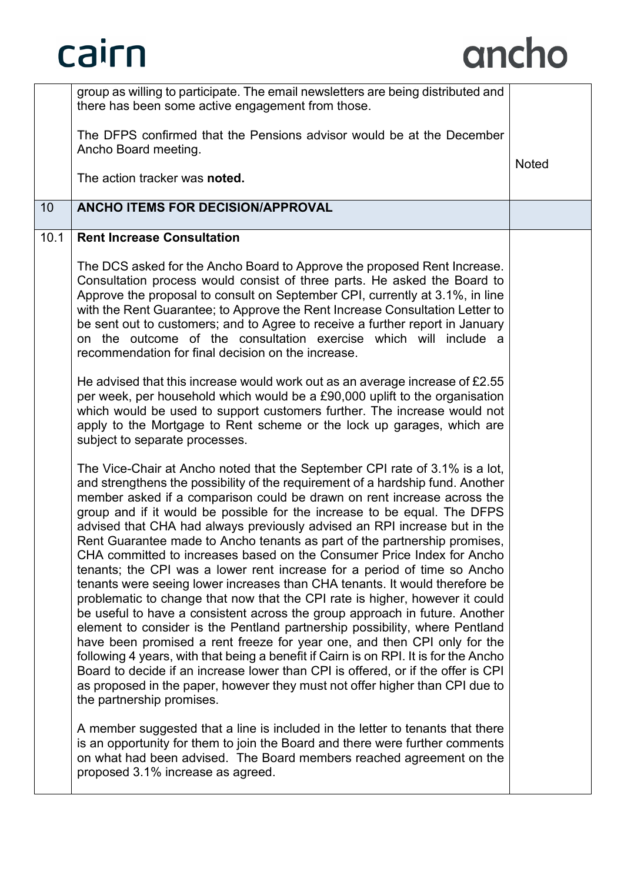|      | group as willing to participate. The email newsletters are being distributed and<br>there has been some active engagement from those.<br>The DFPS confirmed that the Pensions advisor would be at the December                                                                                                                                                                                                                                                                                                                                                                                                                                                                                                                                                                                                                                                                                                                                                                                                                                                                                                                                                                                                                                                                                                                         |              |
|------|----------------------------------------------------------------------------------------------------------------------------------------------------------------------------------------------------------------------------------------------------------------------------------------------------------------------------------------------------------------------------------------------------------------------------------------------------------------------------------------------------------------------------------------------------------------------------------------------------------------------------------------------------------------------------------------------------------------------------------------------------------------------------------------------------------------------------------------------------------------------------------------------------------------------------------------------------------------------------------------------------------------------------------------------------------------------------------------------------------------------------------------------------------------------------------------------------------------------------------------------------------------------------------------------------------------------------------------|--------------|
|      | Ancho Board meeting.                                                                                                                                                                                                                                                                                                                                                                                                                                                                                                                                                                                                                                                                                                                                                                                                                                                                                                                                                                                                                                                                                                                                                                                                                                                                                                                   | <b>Noted</b> |
|      | The action tracker was noted.                                                                                                                                                                                                                                                                                                                                                                                                                                                                                                                                                                                                                                                                                                                                                                                                                                                                                                                                                                                                                                                                                                                                                                                                                                                                                                          |              |
| 10   | <b>ANCHO ITEMS FOR DECISION/APPROVAL</b>                                                                                                                                                                                                                                                                                                                                                                                                                                                                                                                                                                                                                                                                                                                                                                                                                                                                                                                                                                                                                                                                                                                                                                                                                                                                                               |              |
| 10.1 | <b>Rent Increase Consultation</b>                                                                                                                                                                                                                                                                                                                                                                                                                                                                                                                                                                                                                                                                                                                                                                                                                                                                                                                                                                                                                                                                                                                                                                                                                                                                                                      |              |
|      | The DCS asked for the Ancho Board to Approve the proposed Rent Increase.<br>Consultation process would consist of three parts. He asked the Board to<br>Approve the proposal to consult on September CPI, currently at 3.1%, in line<br>with the Rent Guarantee; to Approve the Rent Increase Consultation Letter to<br>be sent out to customers; and to Agree to receive a further report in January<br>on the outcome of the consultation exercise which will include a<br>recommendation for final decision on the increase.                                                                                                                                                                                                                                                                                                                                                                                                                                                                                                                                                                                                                                                                                                                                                                                                        |              |
|      | He advised that this increase would work out as an average increase of £2.55<br>per week, per household which would be a £90,000 uplift to the organisation<br>which would be used to support customers further. The increase would not<br>apply to the Mortgage to Rent scheme or the lock up garages, which are<br>subject to separate processes.                                                                                                                                                                                                                                                                                                                                                                                                                                                                                                                                                                                                                                                                                                                                                                                                                                                                                                                                                                                    |              |
|      | The Vice-Chair at Ancho noted that the September CPI rate of 3.1% is a lot,<br>and strengthens the possibility of the requirement of a hardship fund. Another<br>member asked if a comparison could be drawn on rent increase across the<br>group and if it would be possible for the increase to be equal. The DFPS<br>advised that CHA had always previously advised an RPI increase but in the<br>Rent Guarantee made to Ancho tenants as part of the partnership promises,<br>CHA committed to increases based on the Consumer Price Index for Ancho<br>tenants; the CPI was a lower rent increase for a period of time so Ancho<br>tenants were seeing lower increases than CHA tenants. It would therefore be<br>problematic to change that now that the CPI rate is higher, however it could<br>be useful to have a consistent across the group approach in future. Another<br>element to consider is the Pentland partnership possibility, where Pentland<br>have been promised a rent freeze for year one, and then CPI only for the<br>following 4 years, with that being a benefit if Cairn is on RPI. It is for the Ancho<br>Board to decide if an increase lower than CPI is offered, or if the offer is CPI<br>as proposed in the paper, however they must not offer higher than CPI due to<br>the partnership promises. |              |
|      | A member suggested that a line is included in the letter to tenants that there<br>is an opportunity for them to join the Board and there were further comments<br>on what had been advised. The Board members reached agreement on the<br>proposed 3.1% increase as agreed.                                                                                                                                                                                                                                                                                                                                                                                                                                                                                                                                                                                                                                                                                                                                                                                                                                                                                                                                                                                                                                                            |              |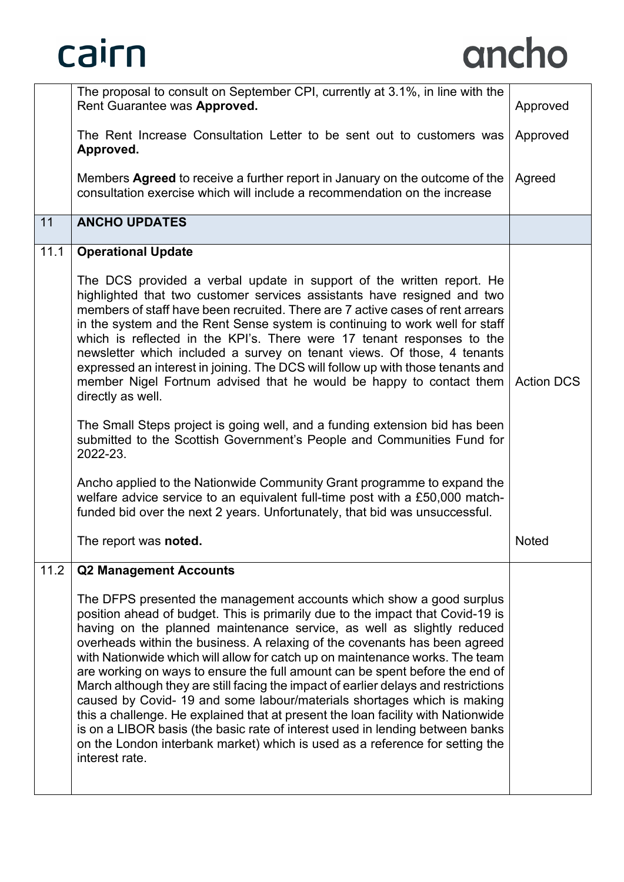

|      | The proposal to consult on September CPI, currently at 3.1%, in line with the<br>Rent Guarantee was Approved.                                                                                                                                                                                                                                                                                                                                                                                                                                                                                                                                                                                                                                                                                                                                                                                                          | Approved          |
|------|------------------------------------------------------------------------------------------------------------------------------------------------------------------------------------------------------------------------------------------------------------------------------------------------------------------------------------------------------------------------------------------------------------------------------------------------------------------------------------------------------------------------------------------------------------------------------------------------------------------------------------------------------------------------------------------------------------------------------------------------------------------------------------------------------------------------------------------------------------------------------------------------------------------------|-------------------|
|      | The Rent Increase Consultation Letter to be sent out to customers was<br>Approved.                                                                                                                                                                                                                                                                                                                                                                                                                                                                                                                                                                                                                                                                                                                                                                                                                                     | Approved          |
|      | Members <b>Agreed</b> to receive a further report in January on the outcome of the<br>consultation exercise which will include a recommendation on the increase                                                                                                                                                                                                                                                                                                                                                                                                                                                                                                                                                                                                                                                                                                                                                        | Agreed            |
| 11   | <b>ANCHO UPDATES</b>                                                                                                                                                                                                                                                                                                                                                                                                                                                                                                                                                                                                                                                                                                                                                                                                                                                                                                   |                   |
| 11.1 | <b>Operational Update</b>                                                                                                                                                                                                                                                                                                                                                                                                                                                                                                                                                                                                                                                                                                                                                                                                                                                                                              |                   |
|      | The DCS provided a verbal update in support of the written report. He<br>highlighted that two customer services assistants have resigned and two<br>members of staff have been recruited. There are 7 active cases of rent arrears<br>in the system and the Rent Sense system is continuing to work well for staff<br>which is reflected in the KPI's. There were 17 tenant responses to the<br>newsletter which included a survey on tenant views. Of those, 4 tenants<br>expressed an interest in joining. The DCS will follow up with those tenants and<br>member Nigel Fortnum advised that he would be happy to contact them<br>directly as well.                                                                                                                                                                                                                                                                 | <b>Action DCS</b> |
|      | The Small Steps project is going well, and a funding extension bid has been<br>submitted to the Scottish Government's People and Communities Fund for<br>2022-23.                                                                                                                                                                                                                                                                                                                                                                                                                                                                                                                                                                                                                                                                                                                                                      |                   |
|      | Ancho applied to the Nationwide Community Grant programme to expand the<br>welfare advice service to an equivalent full-time post with a £50,000 match-<br>funded bid over the next 2 years. Unfortunately, that bid was unsuccessful.                                                                                                                                                                                                                                                                                                                                                                                                                                                                                                                                                                                                                                                                                 |                   |
|      | The report was noted.                                                                                                                                                                                                                                                                                                                                                                                                                                                                                                                                                                                                                                                                                                                                                                                                                                                                                                  | <b>Noted</b>      |
| 11.2 | <b>Q2 Management Accounts</b>                                                                                                                                                                                                                                                                                                                                                                                                                                                                                                                                                                                                                                                                                                                                                                                                                                                                                          |                   |
|      | The DFPS presented the management accounts which show a good surplus<br>position ahead of budget. This is primarily due to the impact that Covid-19 is<br>having on the planned maintenance service, as well as slightly reduced<br>overheads within the business. A relaxing of the covenants has been agreed<br>with Nationwide which will allow for catch up on maintenance works. The team<br>are working on ways to ensure the full amount can be spent before the end of<br>March although they are still facing the impact of earlier delays and restrictions<br>caused by Covid- 19 and some labour/materials shortages which is making<br>this a challenge. He explained that at present the loan facility with Nationwide<br>is on a LIBOR basis (the basic rate of interest used in lending between banks<br>on the London interbank market) which is used as a reference for setting the<br>interest rate. |                   |